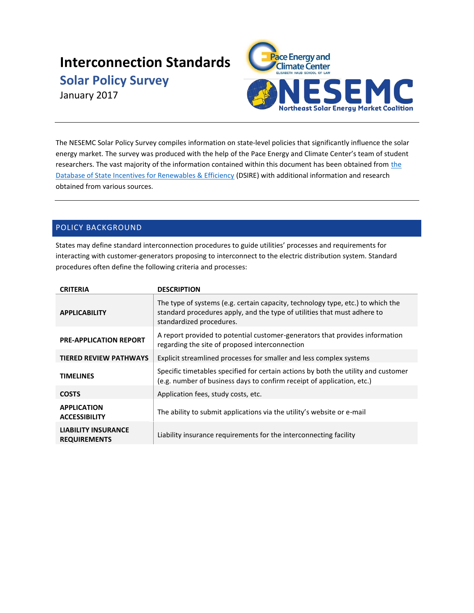# **Interconnection Standards**

**Solar Policy Survey**

January 2017



The NESEMC Solar Policy Survey compiles information on state-level policies that significantly influence the solar energy market. The survey was produced with the help of the Pace Energy and Climate Center's team of student researchers. The vast majority of [the](http://dsireusa.org/) information contained within this document has been obtained from the [Database of State Incentives for Renewables & Efficiency](http://dsireusa.org/) (DSIRE) with additional information and research obtained from various sources.

# POLICY BACKGROUND

States may define standard interconnection procedures to guide utilities' processes and requirements for interacting with customer-generators proposing to interconnect to the electric distribution system. Standard procedures often define the following criteria and processes:

| <b>CRITERIA</b>                                   | <b>DESCRIPTION</b>                                                                                                                                                                      |  |
|---------------------------------------------------|-----------------------------------------------------------------------------------------------------------------------------------------------------------------------------------------|--|
| <b>APPLICABILITY</b>                              | The type of systems (e.g. certain capacity, technology type, etc.) to which the<br>standard procedures apply, and the type of utilities that must adhere to<br>standardized procedures. |  |
| <b>PRE-APPLICATION REPORT</b>                     | A report provided to potential customer-generators that provides information<br>regarding the site of proposed interconnection                                                          |  |
| <b>TIERED REVIEW PATHWAYS</b>                     | Explicit streamlined processes for smaller and less complex systems                                                                                                                     |  |
| <b>TIMELINES</b>                                  | Specific timetables specified for certain actions by both the utility and customer<br>(e.g. number of business days to confirm receipt of application, etc.)                            |  |
| <b>COSTS</b>                                      | Application fees, study costs, etc.                                                                                                                                                     |  |
| <b>APPLICATION</b><br><b>ACCESSIBILITY</b>        | The ability to submit applications via the utility's website or e-mail                                                                                                                  |  |
| <b>LIABILITY INSURANCE</b><br><b>REQUIREMENTS</b> | Liability insurance requirements for the interconnecting facility                                                                                                                       |  |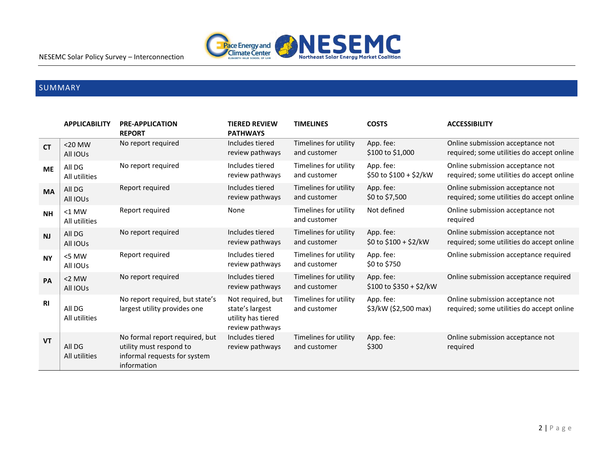

# SUMMARY

|                | <b>APPLICABILITY</b>      | <b>PRE-APPLICATION</b><br><b>REPORT</b>                                                                  | <b>TIERED REVIEW</b><br><b>PATHWAYS</b>                                       | <b>TIMELINES</b>                      | <b>COSTS</b>                         | <b>ACCESSIBILITY</b>                                                          |
|----------------|---------------------------|----------------------------------------------------------------------------------------------------------|-------------------------------------------------------------------------------|---------------------------------------|--------------------------------------|-------------------------------------------------------------------------------|
| <b>CT</b>      | $<$ 20 MW<br>All IOUS     | No report required                                                                                       | Includes tiered<br>review pathways                                            | Timelines for utility<br>and customer | App. fee:<br>\$100 to \$1,000        | Online submission acceptance not<br>required; some utilities do accept online |
| <b>ME</b>      | All DG<br>All utilities   | No report required                                                                                       | Includes tiered<br>review pathways                                            | Timelines for utility<br>and customer | App. fee:<br>\$50 to \$100 + \$2/kW  | Online submission acceptance not<br>required; some utilities do accept online |
| <b>MA</b>      | All DG<br>All IOUS        | Report required                                                                                          | Includes tiered<br>review pathways                                            | Timelines for utility<br>and customer | App. fee:<br>\$0 to \$7,500          | Online submission acceptance not<br>required; some utilities do accept online |
| <b>NH</b>      | $<$ 1 MW<br>All utilities | Report required                                                                                          | None                                                                          | Timelines for utility<br>and customer | Not defined                          | Online submission acceptance not<br>required                                  |
| N <sub>J</sub> | All DG<br>All IOUS        | No report required                                                                                       | Includes tiered<br>review pathways                                            | Timelines for utility<br>and customer | App. fee:<br>\$0 to \$100 + \$2/kW   | Online submission acceptance not<br>required; some utilities do accept online |
| <b>NY</b>      | <5 MW<br>All IOUS         | Report required                                                                                          | Includes tiered<br>review pathways                                            | Timelines for utility<br>and customer | App. fee:<br>\$0 to \$750            | Online submission acceptance required                                         |
| PA             | $<$ 2 MW<br>All IOUS      | No report required                                                                                       | Includes tiered<br>review pathways                                            | Timelines for utility<br>and customer | App. fee:<br>\$100 to \$350 + \$2/kW | Online submission acceptance required                                         |
| <b>RI</b>      | All DG<br>All utilities   | No report required, but state's<br>largest utility provides one                                          | Not required, but<br>state's largest<br>utility has tiered<br>review pathways | Timelines for utility<br>and customer | App. fee:<br>\$3/kW (\$2,500 max)    | Online submission acceptance not<br>required; some utilities do accept online |
| <b>VT</b>      | All DG<br>All utilities   | No formal report required, but<br>utility must respond to<br>informal requests for system<br>information | Includes tiered<br>review pathways                                            | Timelines for utility<br>and customer | App. fee:<br>\$300                   | Online submission acceptance not<br>required                                  |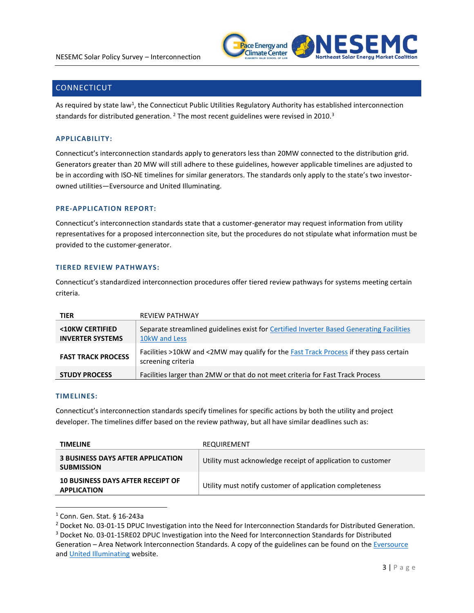

# **CONNECTICUT**

As required by state law<sup>1</sup>, the Connecticut Public Utilities Regulatory Authority has established interconnection standards for distributed generation.<sup>2</sup> The most recent guidelines were revised in 2010.<sup>3</sup>

# **APPLICABILITY:**

Connecticut's interconnection standards apply to generators less than 20MW connected to the distribution grid. Generators greater than 20 MW will still adhere to these guidelines, however applicable timelines are adjusted to be in according with ISO-NE timelines for similar generators. The standards only apply to the state's two investorowned utilities—Eversource and United Illuminating.

# **PRE-APPLICATION REPORT:**

Connecticut's interconnection standards state that a customer-generator may request information from utility representatives for a proposed interconnection site, but the procedures do not stipulate what information must be provided to the customer-generator.

# **TIERED REVIEW PATHWAYS:**

Connecticut's standardized interconnection procedures offer tiered review pathways for systems meeting certain criteria.

| <b>TIER</b>                                | <b>REVIEW PATHWAY</b>                                                                                       |
|--------------------------------------------|-------------------------------------------------------------------------------------------------------------|
| <10KW CERTIFIED<br><b>INVERTER SYSTEMS</b> | Separate streamlined guidelines exist for Certified Inverter Based Generating Facilities<br>10kW and Less   |
| <b>FAST TRACK PROCESS</b>                  | Facilities >10kW and <2MW may qualify for the Fast Track Process if they pass certain<br>screening criteria |
| <b>STUDY PROCESS</b>                       | Facilities larger than 2MW or that do not meet criteria for Fast Track Process                              |

### **TIMELINES:**

 $\overline{a}$ 

Connecticut's interconnection standards specify timelines for specific actions by both the utility and project developer. The timelines differ based on the review pathway, but all have similar deadlines such as:

| <b>TIMELINE</b>                                                | REQUIREMENT                                                 |
|----------------------------------------------------------------|-------------------------------------------------------------|
| <b>3 BUSINESS DAYS AFTER APPLICATION</b><br><b>SUBMISSION</b>  | Utility must acknowledge receipt of application to customer |
| <b>10 BUSINESS DAYS AFTER RECEIPT OF</b><br><b>APPLICATION</b> | Utility must notify customer of application completeness    |

<sup>1</sup> Conn. Gen. Stat. § 16-243a

<sup>&</sup>lt;sup>2</sup> Docket No. 03-01-15 DPUC Investigation into the Need for Interconnection Standards for Distributed Generation.

<sup>3</sup> Docket No. 03-01-15RE02 DPUC Investigation into the Need for Interconnection Standards for Distributed Generation – Area Network Interconnection Standards. A copy of the guidelines can be found on the *Eversource* an[d United Illuminating](https://www.uinet.com/wps/portal/uinet/about/distributed%20generation/application%20process/!ut/p/a1/rZFfT4MwFMW_CnvY49LLn8L2SNAsNUPCNhV4MQw6VsJKB2VRP72FmKjJFJfYt3Nz-ss956IERSjh6ZkVqWQ1T6teJ_bzKiBL33OISx5DDMQiRhisPR0AK0P8zbCxLWW4dZ0tuYelboz9f0IJSjIuhTyguGOcSm2mpbu6k1rHpjBMpvA5yFkrG7brJM21gnLaDJsqhxAVywahiabOaNv2ZJEWNKctK_igMpajOLMoNugcLMgsHRbpAoO5wzbWge4t2zA_MsEPz4WxTHd_KM1ofM8v-gXlYcb4vkbR5WgouhRNEVh5OiWuKq_mkr5IFP1ze8NlRm47GH4pKlZNOl8IweJGEbYhCeeODmsDba44ywhMvwomjg_Heblf4ap8NaHE4vy2dd3J5B1h4ly6/dl5/d5/L2dBISEvZ0FBIS9nQSEh/) website.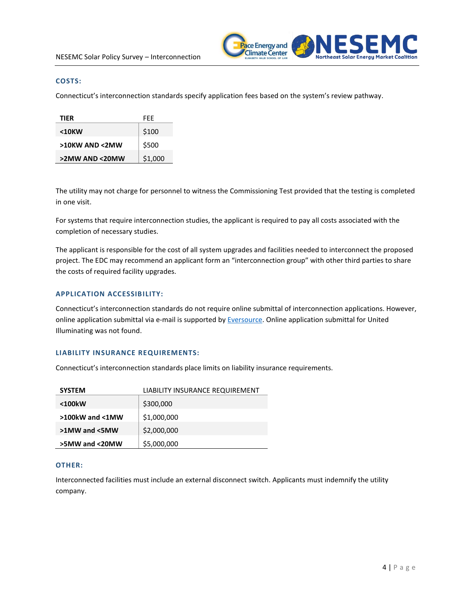

#### **COSTS:**

Connecticut's interconnection standards specify application fees based on the system's review pathway.

| TIER           | FFF     |
|----------------|---------|
| <10KW          | \$100   |
| >10KW AND <2MW | \$500   |
| >2MW AND <20MW | \$1,000 |

The utility may not charge for personnel to witness the Commissioning Test provided that the testing is completed in one visit.

For systems that require interconnection studies, the applicant is required to pay all costs associated with the completion of necessary studies.

The applicant is responsible for the cost of all system upgrades and facilities needed to interconnect the proposed project. The EDC may recommend an applicant form an "interconnection group" with other third parties to share the costs of required facility upgrades.

# **APPLICATION ACCESSIBILITY:**

Connecticut's interconnection standards do not require online submittal of interconnection applications. However, online application submittal via e-mail is supported by [Eversource.](https://www.eversource.com/Content/ct-c/about/doing-business-with-us/builders-contractors/interconnections/connecticut-application-to-connect) Online application submittal for United Illuminating was not found.

# **LIABILITY INSURANCE REQUIREMENTS:**

Connecticut's interconnection standards place limits on liability insurance requirements.

| <b>SYSTEM</b>         | LIABILITY INSURANCE REQUIREMENT |
|-----------------------|---------------------------------|
| <100kW                | \$300,000                       |
| $>100$ kW and $<$ 1MW | \$1,000,000                     |
| >1MW and <5MW         | \$2,000,000                     |
| >5MW and <20MW        | \$5,000,000                     |

#### **OTHER:**

Interconnected facilities must include an external disconnect switch. Applicants must indemnify the utility company.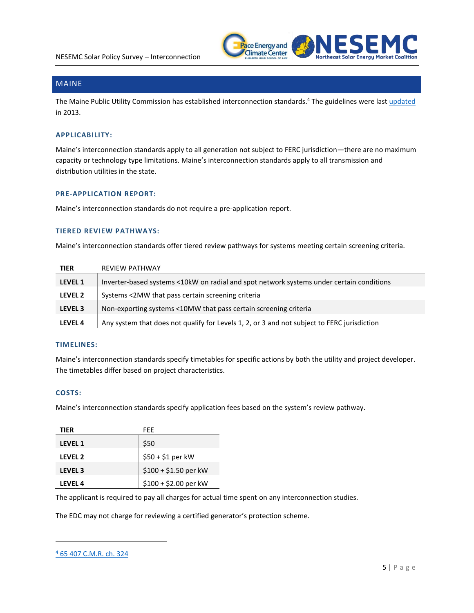

# MAINE

The Maine Public Utility Commission has established interconnection standards.<sup>4</sup> The guidelines were last *updated* in 2013.

### **APPLICABILITY:**

Maine's interconnection standards apply to all generation not subject to FERC jurisdiction—there are no maximum capacity or technology type limitations. Maine's interconnection standards apply to all transmission and distribution utilities in the state.

# **PRE-APPLICATION REPORT:**

Maine's interconnection standards do not require a pre-application report.

### **TIERED REVIEW PATHWAYS:**

Maine's interconnection standards offer tiered review pathways for systems meeting certain screening criteria.

| <b>TIER</b>    | <b>REVIEW PATHWAY</b>                                                                       |
|----------------|---------------------------------------------------------------------------------------------|
| <b>LEVEL 1</b> | Inverter-based systems <10kW on radial and spot network systems under certain conditions    |
| LEVEL 2        | Systems <2MW that pass certain screening criteria                                           |
| LEVEL 3        | Non-exporting systems <10MW that pass certain screening criteria                            |
| LEVEL 4        | Any system that does not qualify for Levels 1, 2, or 3 and not subject to FERC jurisdiction |

# **TIMELINES:**

Maine's interconnection standards specify timetables for specific actions by both the utility and project developer. The timetables differ based on project characteristics.

# **COSTS:**

Maine's interconnection standards specify application fees based on the system's review pathway.

| TIFR           | FFF                   |
|----------------|-----------------------|
| <b>LEVEL 1</b> | \$50                  |
| LEVEL 2        | $$50 + $1$ per kW     |
| <b>LEVEL 3</b> | $$100 + $1.50$ per kW |
| I FVFI 4       | $$100 + $2.00$ per kW |

The applicant is required to pay all charges for actual time spent on any interconnection studies.

The EDC may not charge for reviewing a certified generator's protection scheme.

 $\overline{a}$ 

<sup>4</sup> [65 407 C.M.R. ch. 324](http://www.maine.gov/sos/cec/rules/65/407/407c324.doc)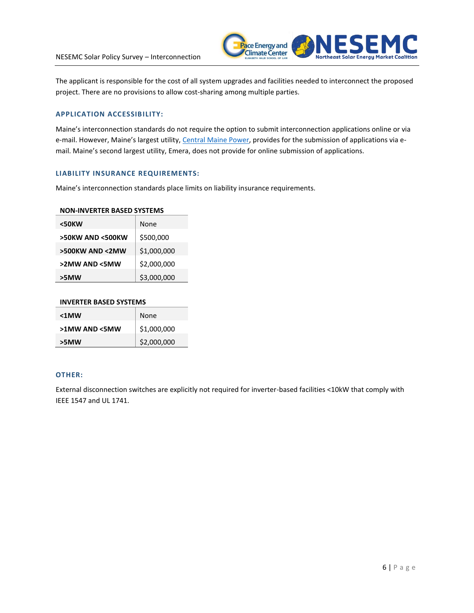

The applicant is responsible for the cost of all system upgrades and facilities needed to interconnect the proposed project. There are no provisions to allow cost-sharing among multiple parties.

# **APPLICATION ACCESSIBILITY:**

Maine's interconnection standards do not require the option to submit interconnection applications online or via e-mail. However, Maine's largest utility, [Central Maine](http://www.cmpco.com/YourAccount/puc324.html) Power, provides for the submission of applications via email. Maine's second largest utility, Emera, does not provide for online submission of applications.

### **LIABILITY INSURANCE REQUIREMENTS:**

Maine's interconnection standards place limits on liability insurance requirements.

### **NON-INVERTER BASED SYSTEMS**

| <50KW            | None        |
|------------------|-------------|
| >50KW AND <500KW | \$500,000   |
| >500KW AND <2MW  | \$1,000,000 |
| >2MW AND <5MW    | \$2,000,000 |
| >5MW             | \$3,000,000 |

#### **INVERTER BASED SYSTEMS**

| $< 1$ MW      | None        |
|---------------|-------------|
| >1MW AND <5MW | \$1,000,000 |
| >5MW          | \$2,000,000 |

# **OTHER:**

External disconnection switches are explicitly not required for inverter-based facilities <10kW that comply with IEEE 1547 and UL 1741.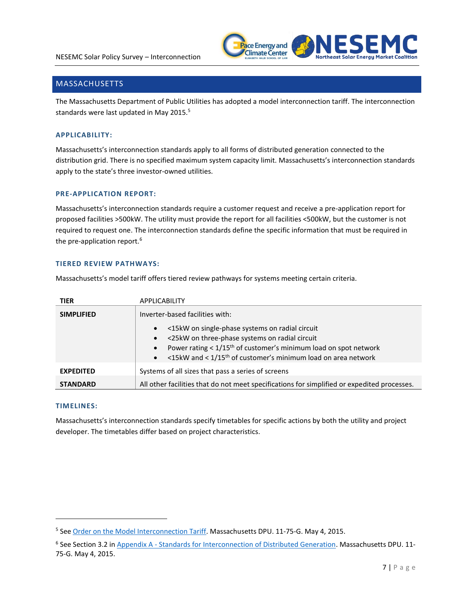

# MASSACHUSETTS

The Massachusetts Department of Public Utilities has adopted a model interconnection tariff. The interconnection standards were last updated in May 2015.<sup>5</sup>

# **APPLICABILITY:**

Massachusetts's interconnection standards apply to all forms of distributed generation connected to the distribution grid. There is no specified maximum system capacity limit. Massachusetts's interconnection standards apply to the state's three investor-owned utilities.

### **PRE-APPLICATION REPORT:**

Massachusetts's interconnection standards require a customer request and receive a pre-application report for proposed facilities >500kW. The utility must provide the report for all facilities <500kW, but the customer is not required to request one. The interconnection standards define the specific information that must be required in the pre-application report.<sup>6</sup>

# **TIERED REVIEW PATHWAYS:**

Massachusetts's model tariff offers tiered review pathways for systems meeting certain criteria.

| <b>TIER</b>       | <b>APPLICABILITY</b>                                                                                                                                                                                                                                                                                                                                    |  |
|-------------------|---------------------------------------------------------------------------------------------------------------------------------------------------------------------------------------------------------------------------------------------------------------------------------------------------------------------------------------------------------|--|
| <b>SIMPLIFIED</b> | Inverter-based facilities with:<br><15kW on single-phase systems on radial circuit<br>$\bullet$<br><25kW on three-phase systems on radial circuit<br>$\bullet$<br>Power rating $< 1/15$ <sup>th</sup> of customer's minimum load on spot network<br>$\bullet$<br><15kW and < 1/15 <sup>th</sup> of customer's minimum load on area network<br>$\bullet$ |  |
| <b>EXPEDITED</b>  | Systems of all sizes that pass a series of screens                                                                                                                                                                                                                                                                                                      |  |
| <b>STANDARD</b>   | All other facilities that do not meet specifications for simplified or expedited processes.                                                                                                                                                                                                                                                             |  |

### **TIMELINES:**

 $\overline{a}$ 

Massachusetts's interconnection standards specify timetables for specific actions by both the utility and project developer. The timetables differ based on project characteristics.

<sup>&</sup>lt;sup>5</sup> See [Order on the Model Interconnection Tariff.](http://web1.env.state.ma.us/DPU/FileRoomAPI/api/Attachments/Get/?path=11-75%2fOrder_1175G_050415.pdf) Massachusetts DPU. 11-75-G. May 4, 2015.

<sup>&</sup>lt;sup>6</sup> See Section 3.2 in Appendix A - [Standards for Interconnection of Distributed Generation.](http://web1.env.state.ma.us/DPU/FileRoomAPI/api/Attachments/Get/?path=11-75%2f11-75-Filing-1810.pdf) Massachusetts DPU. 11-75-G. May 4, 2015.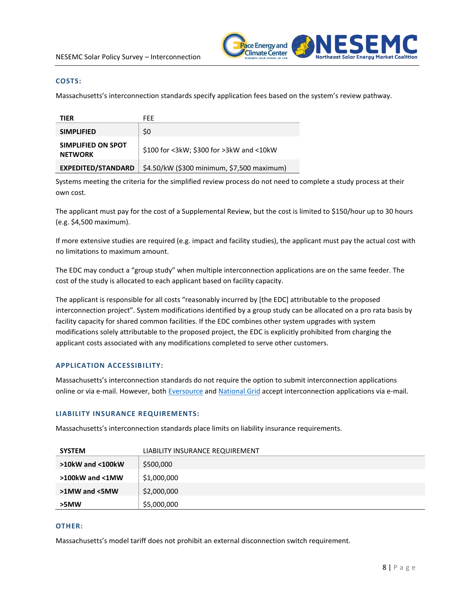

### **COSTS:**

Massachusetts's interconnection standards specify application fees based on the system's review pathway.

| TIER                                 | FFF                                        |
|--------------------------------------|--------------------------------------------|
| <b>SIMPLIFIED</b>                    | \$0                                        |
| SIMPLIFIED ON SPOT<br><b>NETWORK</b> | \$100 for <3kW; \$300 for >3kW and <10kW   |
| <b>EXPEDITED/STANDARD</b>            | \$4.50/kW (\$300 minimum, \$7,500 maximum) |

Systems meeting the criteria for the simplified review process do not need to complete a study process at their own cost.

The applicant must pay for the cost of a Supplemental Review, but the cost is limited to \$150/hour up to 30 hours (e.g. \$4,500 maximum).

If more extensive studies are required (e.g. impact and facility studies), the applicant must pay the actual cost with no limitations to maximum amount.

The EDC may conduct a "group study" when multiple interconnection applications are on the same feeder. The cost of the study is allocated to each applicant based on facility capacity.

The applicant is responsible for all costs "reasonably incurred by [the EDC] attributable to the proposed interconnection project". System modifications identified by a group study can be allocated on a pro rata basis by facility capacity for shared common facilities. If the EDC combines other system upgrades with system modifications solely attributable to the proposed project, the EDC is explicitly prohibited from charging the applicant costs associated with any modifications completed to serve other customers.

### **APPLICATION ACCESSIBILITY:**

Massachusetts's interconnection standards do not require the option to submit interconnection applications online or via e-mail. However, both [Eversource](https://www.eversource.com/Content/ct-c/about/doing-business-with-us/builders-contractors/interconnections/massachusetts-application-to-connect) and [National Grid](https://www9.nationalgridus.com/masselectric/business/energyeff/4_interconnection-process.asp) accept interconnection applications via e-mail.

#### **LIABILITY INSURANCE REQUIREMENTS:**

Massachusetts's interconnection standards place limits on liability insurance requirements.

| <b>SYSTEM</b>          | LIABILITY INSURANCE REQUIREMENT |
|------------------------|---------------------------------|
| $>10$ kW and $<$ 100kW | \$500,000                       |
| >100kW and <1MW        | \$1,000,000                     |
| >1MW and <5MW          | \$2,000,000                     |
| >5MW                   | \$5,000,000                     |

# **OTHER:**

Massachusetts's model tariff does not prohibit an external disconnection switch requirement.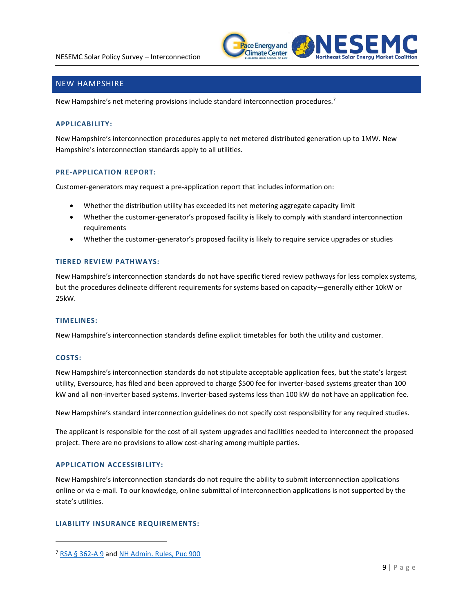

# NEW HAMPSHIRE

New Hampshire's net metering provisions include standard interconnection procedures.<sup>7</sup>

# **APPLICABILITY:**

New Hampshire's interconnection procedures apply to net metered distributed generation up to 1MW. New Hampshire's interconnection standards apply to all utilities.

### **PRE-APPLICATION REPORT:**

Customer-generators may request a pre-application report that includes information on:

- Whether the distribution utility has exceeded its net metering aggregate capacity limit
- Whether the customer-generator's proposed facility is likely to comply with standard interconnection requirements
- Whether the customer-generator's proposed facility is likely to require service upgrades or studies

### **TIERED REVIEW PATHWAYS:**

New Hampshire's interconnection standards do not have specific tiered review pathways for less complex systems, but the procedures delineate different requirements for systems based on capacity—generally either 10kW or 25kW.

#### **TIMELINES:**

New Hampshire's interconnection standards define explicit timetables for both the utility and customer.

### **COSTS:**

 $\overline{a}$ 

New Hampshire's interconnection standards do not stipulate acceptable application fees, but the state's largest utility, Eversource, has filed and been approved to charge \$500 fee for inverter-based systems greater than 100 kW and all non-inverter based systems. Inverter-based systems less than 100 kW do not have an application fee.

New Hampshire's standard interconnection guidelines do not specify cost responsibility for any required studies.

The applicant is responsible for the cost of all system upgrades and facilities needed to interconnect the proposed project. There are no provisions to allow cost-sharing among multiple parties.

### **APPLICATION ACCESSIBILITY:**

New Hampshire's interconnection standards do not require the ability to submit interconnection applications online or via e-mail. To our knowledge, online submittal of interconnection applications is not supported by the state's utilities.

### **LIABILITY INSURANCE REQUIREMENTS:**

<sup>7</sup> [RSA § 362-A 9](http://www.gencourt.state.nh.us/rsa/html/xxxiv/362-a/362-a-9.htm) and [NH Admin. Rules, Puc 900](http://www.puc.state.nh.us/Regulatory/Rules/PUC900.pdf)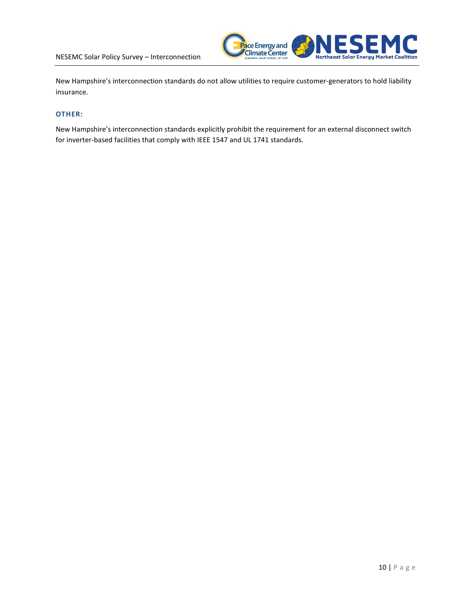

New Hampshire's interconnection standards do not allow utilities to require customer-generators to hold liability insurance.

# **OTHER:**

New Hampshire's interconnection standards explicitly prohibit the requirement for an external disconnect switch for inverter-based facilities that comply with IEEE 1547 and UL 1741 standards.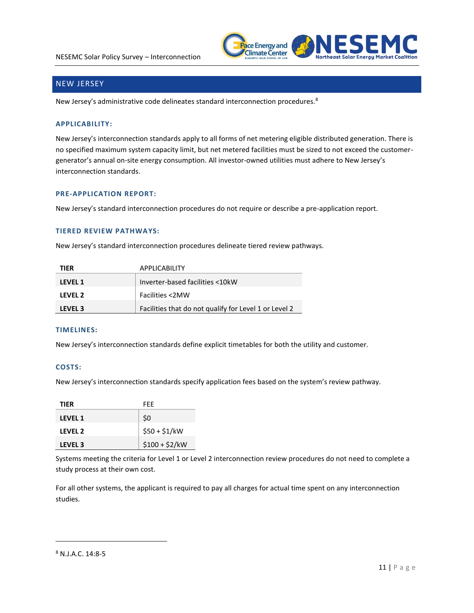

# NEW JERSEY

New Jersey's administrative code delineates standard interconnection procedures.<sup>8</sup>

# **APPLICABILITY:**

New Jersey's interconnection standards apply to all forms of net metering eligible distributed generation. There is no specified maximum system capacity limit, but net metered facilities must be sized to not exceed the customergenerator's annual on-site energy consumption. All investor-owned utilities must adhere to New Jersey's interconnection standards.

# **PRE-APPLICATION REPORT:**

New Jersey's standard interconnection procedures do not require or describe a pre-application report.

# **TIERED REVIEW PATHWAYS:**

New Jersey's standard interconnection procedures delineate tiered review pathways.

| <b>TIER</b>    | <b>APPLICABILITY</b>                                  |
|----------------|-------------------------------------------------------|
| <b>LEVEL 1</b> | Inverter-based facilities <10kW                       |
| LEVEL 2        | Facilities <2MW                                       |
| <b>LEVEL 3</b> | Facilities that do not qualify for Level 1 or Level 2 |

# **TIMELINES:**

New Jersey's interconnection standards define explicit timetables for both the utility and customer.

# **COSTS:**

New Jersey's interconnection standards specify application fees based on the system's review pathway.

| <b>TIER</b>    | FFF            |
|----------------|----------------|
| <b>LEVEL 1</b> | \$0            |
| LEVEL 2        | $$50 + $1/kW$  |
| <b>LEVEL 3</b> | $$100 + $2/kW$ |

Systems meeting the criteria for Level 1 or Level 2 interconnection review procedures do not need to complete a study process at their own cost.

For all other systems, the applicant is required to pay all charges for actual time spent on any interconnection studies.

 $\overline{a}$ 

<sup>8</sup> N.J.A.C. 14:8-5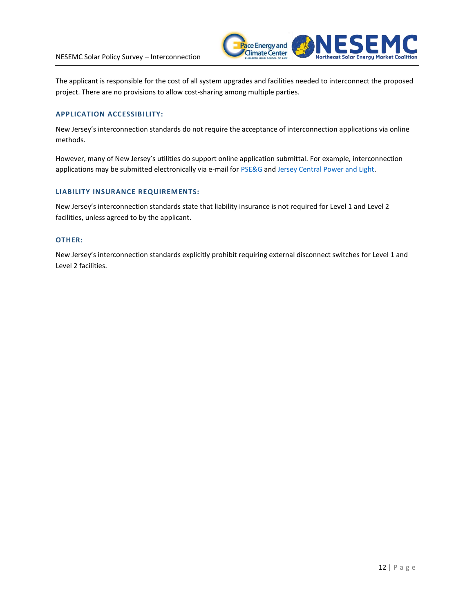

The applicant is responsible for the cost of all system upgrades and facilities needed to interconnect the proposed project. There are no provisions to allow cost-sharing among multiple parties.

# **APPLICATION ACCESSIBILITY:**

New Jersey's interconnection standards do not require the acceptance of interconnection applications via online methods.

However, many of New Jersey's utilities do support online application submittal. For example, interconnection applications may be submitted electronically via e-mail for **PSE&G** and [Jersey Central Power and Light.](https://www.firstenergycorp.com/content/fecorp/feconnect/jcpl/retail.html)

# **LIABILITY INSURANCE REQUIREMENTS:**

New Jersey's interconnection standards state that liability insurance is not required for Level 1 and Level 2 facilities, unless agreed to by the applicant.

## **OTHER:**

New Jersey's interconnection standards explicitly prohibit requiring external disconnect switches for Level 1 and Level 2 facilities.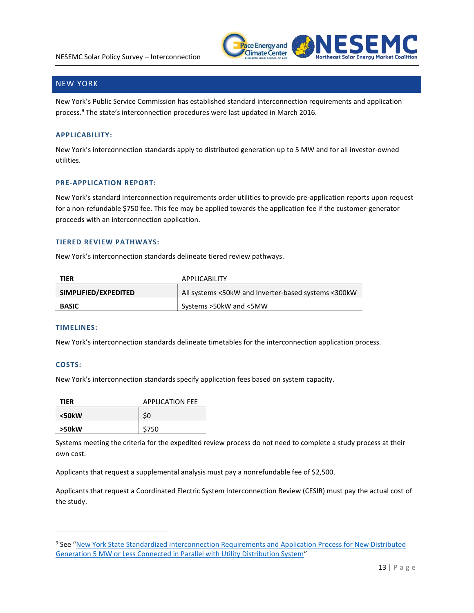

# NEW YORK

New York's Public Service Commission has established standard interconnection requirements and application process.<sup>9</sup> The state's interconnection procedures were last updated in March 2016.

# **APPLICABILITY:**

New York's interconnection standards apply to distributed generation up to 5 MW and for all investor-owned utilities.

# **PRE-APPLICATION REPORT:**

New York's standard interconnection requirements order utilities to provide pre-application reports upon request for a non-refundable \$750 fee. This fee may be applied towards the application fee if the customer-generator proceeds with an interconnection application.

# **TIERED REVIEW PATHWAYS:**

New York's interconnection standards delineate tiered review pathways.

| TIER                 | <b>APPLICABILITY</b>                                |
|----------------------|-----------------------------------------------------|
| SIMPLIFIED/EXPEDITED | All systems <50kW and Inverter-based systems <300kW |
| <b>BASIC</b>         | Systems >50kW and <5MW                              |

### **TIMELINES:**

New York's interconnection standards delineate timetables for the interconnection application process.

### **COSTS:**

 $\overline{a}$ 

New York's interconnection standards specify application fees based on system capacity.

| <b>TIFR</b> | <b>APPLICATION FEE</b> |
|-------------|------------------------|
| $<$ 50 $kW$ | \$0                    |
| >50kW       | \$750                  |

Systems meeting the criteria for the expedited review process do not need to complete a study process at their own cost.

Applicants that request a supplemental analysis must pay a nonrefundable fee of \$2,500.

Applicants that request a Coordinated Electric System Interconnection Review (CESIR) must pay the actual cost of the study.

<sup>&</sup>lt;sup>9</sup> See "New York State Standardized Interconnection Requirements and Application Process for New Distributed Generation 5 [MW or Less Connected in Parallel with Utility Distribution System](http://www3.dps.ny.gov/W/PSCWeb.nsf/96f0fec0b45a3c6485257688006a701a/dcf68efca391ad6085257687006f396b/$FILE/46974561.pdf/SIR%20FINAL.pdf)"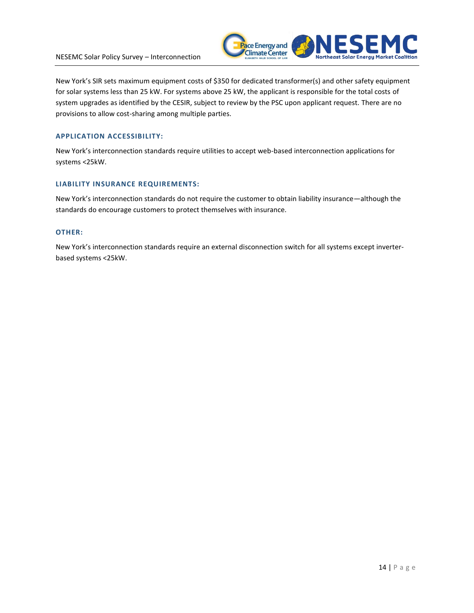

New York's SIR sets maximum equipment costs of \$350 for dedicated transformer(s) and other safety equipment for solar systems less than 25 kW. For systems above 25 kW, the applicant is responsible for the total costs of system upgrades as identified by the CESIR, subject to review by the PSC upon applicant request. There are no provisions to allow cost-sharing among multiple parties.

# **APPLICATION ACCESSIBILITY:**

New York's interconnection standards require utilities to accept web-based interconnection applications for systems <25kW.

# **LIABILITY INSURANCE REQUIREMENTS:**

New York's interconnection standards do not require the customer to obtain liability insurance—although the standards do encourage customers to protect themselves with insurance.

### **OTHER:**

New York's interconnection standards require an external disconnection switch for all systems except inverterbased systems <25kW.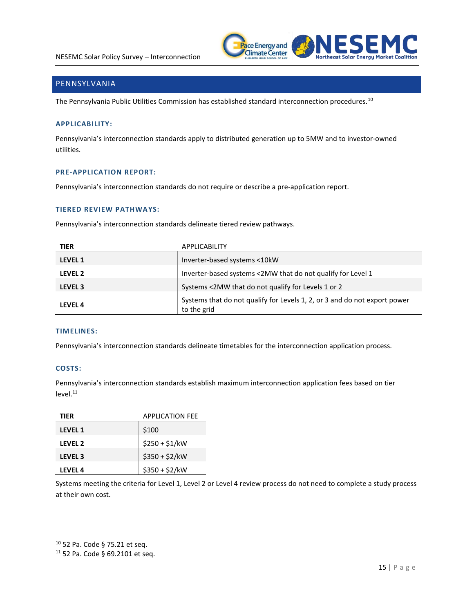

# PENNSYLVANIA

The Pennsylvania Public Utilities Commission has established standard interconnection procedures.<sup>10</sup>

# **APPLICABILITY:**

Pennsylvania's interconnection standards apply to distributed generation up to 5MW and to investor-owned utilities.

#### **PRE-APPLICATION REPORT:**

Pennsylvania's interconnection standards do not require or describe a pre-application report.

# **TIERED REVIEW PATHWAYS:**

Pennsylvania's interconnection standards delineate tiered review pathways.

| <b>TIER</b>    | APPLICABILITY                                                                            |
|----------------|------------------------------------------------------------------------------------------|
| <b>LEVEL 1</b> | Inverter-based systems <10kW                                                             |
| LEVEL 2        | Inverter-based systems <2MW that do not qualify for Level 1                              |
| LEVEL 3        | Systems <2MW that do not qualify for Levels 1 or 2                                       |
| <b>LEVEL 4</b> | Systems that do not qualify for Levels 1, 2, or 3 and do not export power<br>to the grid |

## **TIMELINES:**

Pennsylvania's interconnection standards delineate timetables for the interconnection application process.

# **COSTS:**

 $\overline{a}$ 

Pennsylvania's interconnection standards establish maximum interconnection application fees based on tier  $level.<sup>11</sup>$ 

| TIFR           | <b>APPLICATION FEE</b> |
|----------------|------------------------|
| <b>LEVEL 1</b> | \$100                  |
| LEVEL 2        | $$250 + $1/kW$         |
| <b>LEVEL 3</b> | $$350 + $2/kW$         |
| LEVEL 4        | $$350 + $2/kW$         |

Systems meeting the criteria for Level 1, Level 2 or Level 4 review process do not need to complete a study process at their own cost.

<sup>10</sup> 52 Pa. Code § 75.21 et seq.

<sup>11</sup> 52 Pa. Code § 69.2101 et seq.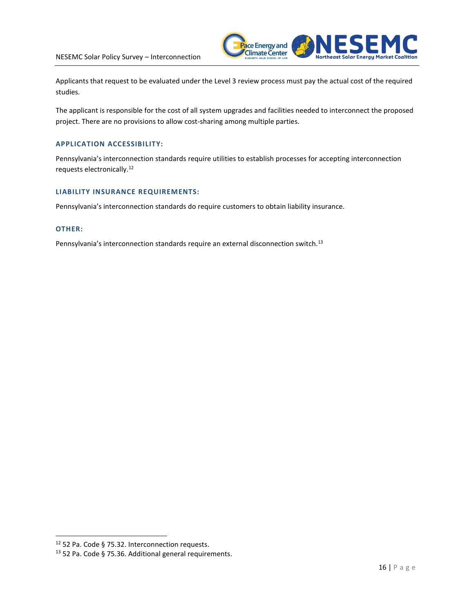

Applicants that request to be evaluated under the Level 3 review process must pay the actual cost of the required studies.

The applicant is responsible for the cost of all system upgrades and facilities needed to interconnect the proposed project. There are no provisions to allow cost-sharing among multiple parties.

# **APPLICATION ACCESSIBILITY:**

Pennsylvania's interconnection standards require utilities to establish processes for accepting interconnection requests electronically.<sup>12</sup>

# **LIABILITY INSURANCE REQUIREMENTS:**

Pennsylvania's interconnection standards do require customers to obtain liability insurance.

### **OTHER:**

 $\overline{a}$ 

Pennsylvania's interconnection standards require an external disconnection switch.<sup>13</sup>

<sup>12</sup> 52 Pa. Code § 75.32. Interconnection requests.

<sup>13</sup> 52 Pa. Code § 75.36. Additional general requirements.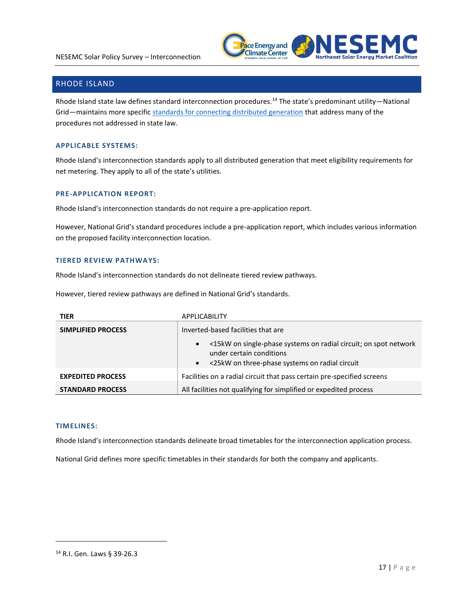

# RHODE ISLAND

Rhode Island state law defines standard interconnection procedures.<sup>14</sup> The state's predominant utility—National Grid-maintains more specific [standards for connecting distributed generation](https://www9.nationalgridus.com/non_html/RI_DG_Interconnection_Tariff.pdf) that address many of the procedures not addressed in state law.

# **APPLICABLE SYSTEMS:**

Rhode Island's interconnection standards apply to all distributed generation that meet eligibility requirements for net metering. They apply to all of the state's utilities.

#### **PRE-APPLICATION REPORT:**

Rhode Island's interconnection standards do not require a pre-application report.

However, National Grid's standard procedures include a pre-application report, which includes various information on the proposed facility interconnection location.

# **TIERED REVIEW PATHWAYS:**

Rhode Island's interconnection standards do not delineate tiered review pathways.

However, tiered review pathways are defined in National Grid's standards.

| <b>TIER</b>              | APPLICABILITY                                                                                |
|--------------------------|----------------------------------------------------------------------------------------------|
| SIMPLIFIED PROCESS       | Inverted-based facilities that are                                                           |
|                          | <15kW on single-phase systems on radial circuit; on spot network<br>under certain conditions |
|                          | <25kW on three-phase systems on radial circuit<br>$\bullet$                                  |
| <b>EXPEDITED PROCESS</b> | Facilities on a radial circuit that pass certain pre-specified screens                       |
| <b>STANDARD PROCESS</b>  | All facilities not qualifying for simplified or expedited process                            |

# **TIMELINES:**

Rhode Island's interconnection standards delineate broad timetables for the interconnection application process.

National Grid defines more specific timetables in their standards for both the company and applicants.

 $\overline{a}$ 

<sup>14</sup> R.I. Gen. Laws § 39-26.3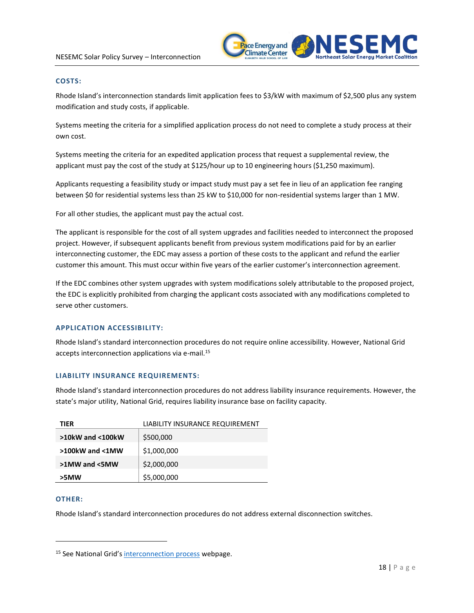

# **COSTS:**

Rhode Island's interconnection standards limit application fees to \$3/kW with maximum of \$2,500 plus any system modification and study costs, if applicable.

Systems meeting the criteria for a simplified application process do not need to complete a study process at their own cost.

Systems meeting the criteria for an expedited application process that request a supplemental review, the applicant must pay the cost of the study at \$125/hour up to 10 engineering hours (\$1,250 maximum).

Applicants requesting a feasibility study or impact study must pay a set fee in lieu of an application fee ranging between \$0 for residential systems less than 25 kW to \$10,000 for non-residential systems larger than 1 MW.

For all other studies, the applicant must pay the actual cost.

The applicant is responsible for the cost of all system upgrades and facilities needed to interconnect the proposed project. However, if subsequent applicants benefit from previous system modifications paid for by an earlier interconnecting customer, the EDC may assess a portion of these costs to the applicant and refund the earlier customer this amount. This must occur within five years of the earlier customer's interconnection agreement.

If the EDC combines other system upgrades with system modifications solely attributable to the proposed project, the EDC is explicitly prohibited from charging the applicant costs associated with any modifications completed to serve other customers.

# **APPLICATION ACCESSIBILITY:**

Rhode Island's standard interconnection procedures do not require online accessibility. However, National Grid accepts interconnection applications via e-mail.<sup>15</sup>

# **LIABILITY INSURANCE REQUIREMENTS:**

Rhode Island's standard interconnection procedures do not address liability insurance requirements. However, the state's major utility, National Grid, requires liability insurance base on facility capacity.

| TIER                   | LIABILITY INSURANCE REQUIREMENT |
|------------------------|---------------------------------|
| $>10$ kW and $<$ 100kW | \$500,000                       |
| >100kW and <1MW        | \$1,000,000                     |
| >1MW and <5MW          | \$2,000,000                     |
| >5MW                   | \$5,000,000                     |

### **OTHER:**

 $\overline{a}$ 

Rhode Island's standard interconnection procedures do not address external disconnection switches.

<sup>&</sup>lt;sup>15</sup> See National Grid's [interconnection process](https://www9.nationalgridus.com/narragansett/business/energyeff/4_interconnection-process.asp) webpage.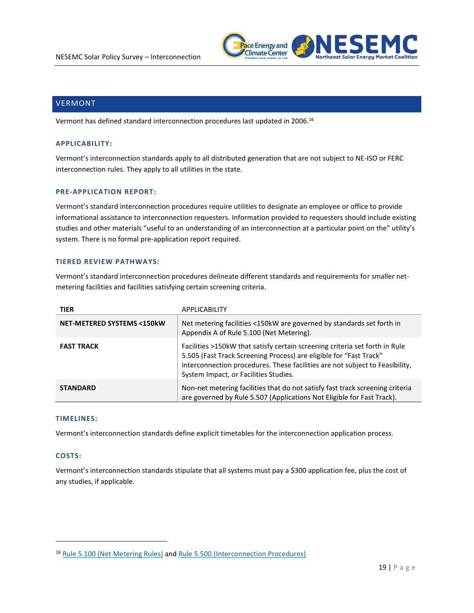

# VERMONT

Vermont has defined standard interconnection procedures last updated in 2006. 16

#### **APPLICABILITY:**

Vermont's interconnection standards apply to all distributed generation that are not subject to NE-ISO or FERC interconnection rules. They apply to all utilities in the state.

#### **PRE-APPLICATION REPORT:**

Vermont's standard interconnection procedures require utilities to designate an employee or office to provide informational assistance to interconnection requesters. Information provided to requesters should include existing studies and other materials "useful to an understanding of an interconnection at a particular point on the" utility's system. There is no formal pre-application report required.

#### **TIERED REVIEW PATHWAYS:**

Vermont's standard interconnection procedures delineate different standards and requirements for smaller netmetering facilities and facilities satisfying certain screening criteria.

| <b>TIER</b>                          | APPLICABILITY                                                                                                                                                                                                                                                              |
|--------------------------------------|----------------------------------------------------------------------------------------------------------------------------------------------------------------------------------------------------------------------------------------------------------------------------|
| <b>NET-METERED SYSTEMS &lt;150kW</b> | Net metering facilities <150kW are governed by standards set forth in<br>Appendix A of Rule 5.100 (Net Metering).                                                                                                                                                          |
| <b>FAST TRACK</b>                    | Facilities >150kW that satisfy certain screening criteria set forth in Rule<br>5.505 (Fast Track Screening Process) are eligible for "Fast Track"<br>interconnection procedures. These facilities are not subject to Feasibility,<br>System Impact, or Facilities Studies. |
| <b>STANDARD</b>                      | Non-net metering facilities that do not satisfy fast track screening criteria<br>are governed by Rule 5.507 (Applications Not Eligible for Fast Track).                                                                                                                    |

#### **TIMELINES:**

Vermont's interconnection standards define explicit timetables for the interconnection application process.

## **COSTS:**

 $\overline{a}$ 

Vermont's interconnection standards stipulate that all systems must pay a \$300 application fee, plus the cost of any studies, if applicable.

<sup>16</sup> Rule [5.100 \(Net Metering Rules\)](http://psb.vermont.gov/sites/psb/files/rules/OfficialAdoptedRules/2013%20NM%20adopted%20rule%20clean.pdf) and [Rule 5.500 \(Interconnection Procedures\)](http://psb.vermont.gov/sites/psb/files/rules/OfficialAdoptedRules/5500_Electric_Generation_Interconnection_Procedures.pdf)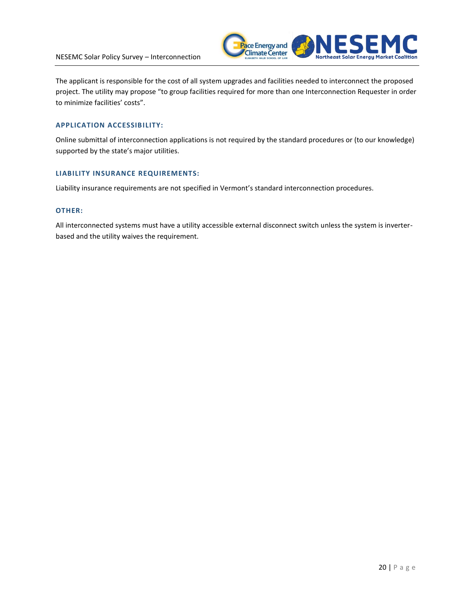

The applicant is responsible for the cost of all system upgrades and facilities needed to interconnect the proposed project. The utility may propose "to group facilities required for more than one Interconnection Requester in order to minimize facilities' costs".

# **APPLICATION ACCESSIBILITY:**

Online submittal of interconnection applications is not required by the standard procedures or (to our knowledge) supported by the state's major utilities.

### **LIABILITY INSURANCE REQUIREMENTS:**

Liability insurance requirements are not specified in Vermont's standard interconnection procedures.

#### **OTHER:**

All interconnected systems must have a utility accessible external disconnect switch unless the system is inverterbased and the utility waives the requirement.